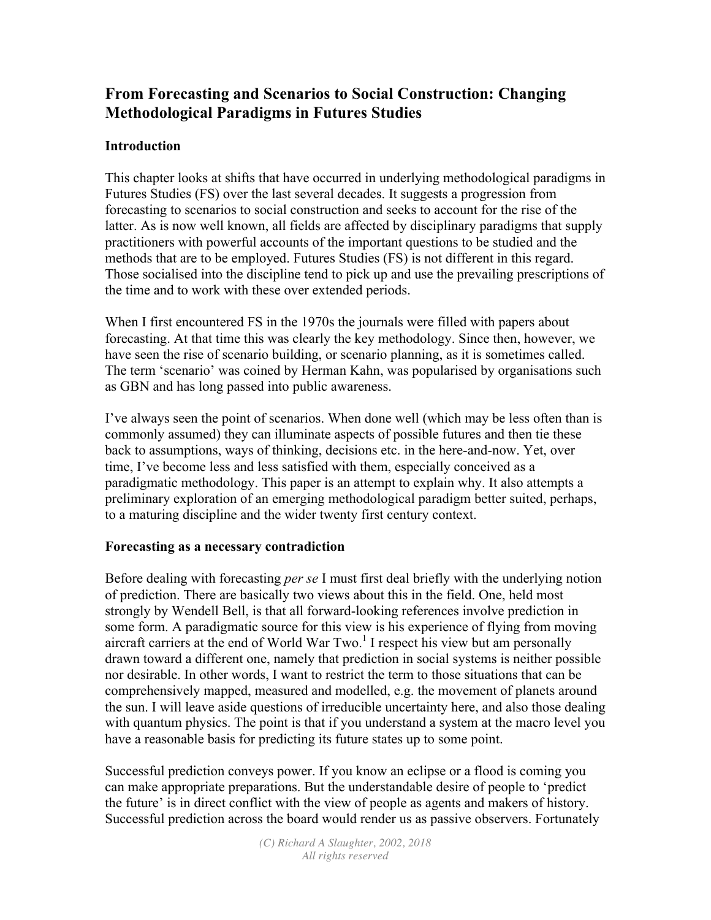# **From Forecasting and Scenarios to Social Construction: Changing Methodological Paradigms in Futures Studies**

### **Introduction**

This chapter looks at shifts that have occurred in underlying methodological paradigms in Futures Studies (FS) over the last several decades. It suggests a progression from forecasting to scenarios to social construction and seeks to account for the rise of the latter. As is now well known, all fields are affected by disciplinary paradigms that supply practitioners with powerful accounts of the important questions to be studied and the methods that are to be employed. Futures Studies (FS) is not different in this regard. Those socialised into the discipline tend to pick up and use the prevailing prescriptions of the time and to work with these over extended periods.

When I first encountered FS in the 1970s the journals were filled with papers about forecasting. At that time this was clearly the key methodology. Since then, however, we have seen the rise of scenario building, or scenario planning, as it is sometimes called. The term 'scenario' was coined by Herman Kahn, was popularised by organisations such as GBN and has long passed into public awareness.

I've always seen the point of scenarios. When done well (which may be less often than is commonly assumed) they can illuminate aspects of possible futures and then tie these back to assumptions, ways of thinking, decisions etc. in the here-and-now. Yet, over time, I've become less and less satisfied with them, especially conceived as a paradigmatic methodology. This paper is an attempt to explain why. It also attempts a preliminary exploration of an emerging methodological paradigm better suited, perhaps, to a maturing discipline and the wider twenty first century context.

### **Forecasting as a necessary contradiction**

Before dealing with forecasting *per se* I must first deal briefly with the underlying notion of prediction. There are basically two views about this in the field. One, held most strongly by Wendell Bell, is that all forward-looking references involve prediction in some form. A paradigmatic source for this view is his experience of flying from moving aircraft carriers at the end of World War Two. <sup>1</sup> I respect his view but am personally drawn toward a different one, namely that prediction in social systems is neither possible nor desirable. In other words, I want to restrict the term to those situations that can be comprehensively mapped, measured and modelled, e.g. the movement of planets around the sun. I will leave aside questions of irreducible uncertainty here, and also those dealing with quantum physics. The point is that if you understand a system at the macro level you have a reasonable basis for predicting its future states up to some point.

Successful prediction conveys power. If you know an eclipse or a flood is coming you can make appropriate preparations. But the understandable desire of people to 'predict the future' is in direct conflict with the view of people as agents and makers of history. Successful prediction across the board would render us as passive observers. Fortunately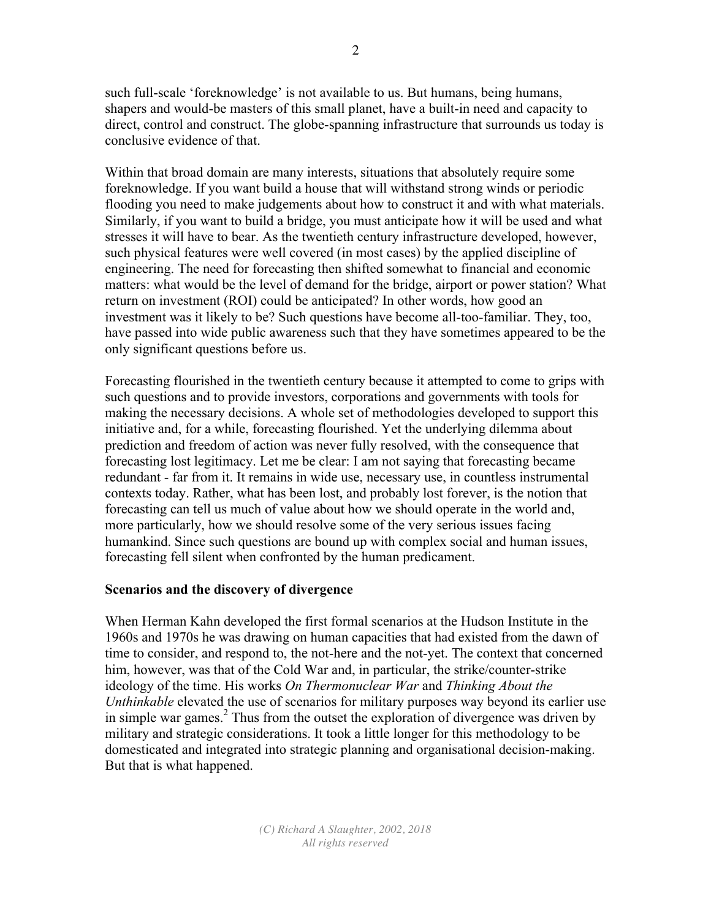such full-scale 'foreknowledge' is not available to us. But humans, being humans, shapers and would-be masters of this small planet, have a built-in need and capacity to direct, control and construct. The globe-spanning infrastructure that surrounds us today is conclusive evidence of that.

Within that broad domain are many interests, situations that absolutely require some foreknowledge. If you want build a house that will withstand strong winds or periodic flooding you need to make judgements about how to construct it and with what materials. Similarly, if you want to build a bridge, you must anticipate how it will be used and what stresses it will have to bear. As the twentieth century infrastructure developed, however, such physical features were well covered (in most cases) by the applied discipline of engineering. The need for forecasting then shifted somewhat to financial and economic matters: what would be the level of demand for the bridge, airport or power station? What return on investment (ROI) could be anticipated? In other words, how good an investment was it likely to be? Such questions have become all-too-familiar. They, too, have passed into wide public awareness such that they have sometimes appeared to be the only significant questions before us.

Forecasting flourished in the twentieth century because it attempted to come to grips with such questions and to provide investors, corporations and governments with tools for making the necessary decisions. A whole set of methodologies developed to support this initiative and, for a while, forecasting flourished. Yet the underlying dilemma about prediction and freedom of action was never fully resolved, with the consequence that forecasting lost legitimacy. Let me be clear: I am not saying that forecasting became redundant - far from it. It remains in wide use, necessary use, in countless instrumental contexts today. Rather, what has been lost, and probably lost forever, is the notion that forecasting can tell us much of value about how we should operate in the world and, more particularly, how we should resolve some of the very serious issues facing humankind. Since such questions are bound up with complex social and human issues, forecasting fell silent when confronted by the human predicament.

#### **Scenarios and the discovery of divergence**

When Herman Kahn developed the first formal scenarios at the Hudson Institute in the 1960s and 1970s he was drawing on human capacities that had existed from the dawn of time to consider, and respond to, the not-here and the not-yet. The context that concerned him, however, was that of the Cold War and, in particular, the strike/counter-strike ideology of the time. His works *On Thermonuclear War* and *Thinking About the Unthinkable* elevated the use of scenarios for military purposes way beyond its earlier use in simple war games.<sup>2</sup> Thus from the outset the exploration of divergence was driven by military and strategic considerations. It took a little longer for this methodology to be domesticated and integrated into strategic planning and organisational decision-making. But that is what happened.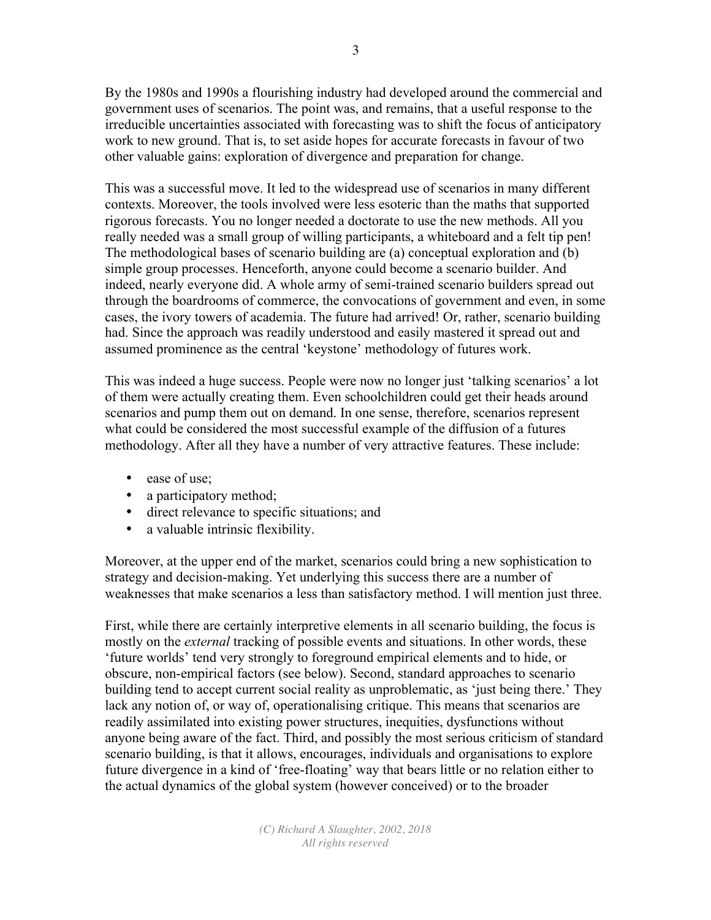By the 1980s and 1990s a flourishing industry had developed around the commercial and government uses of scenarios. The point was, and remains, that a useful response to the irreducible uncertainties associated with forecasting was to shift the focus of anticipatory work to new ground. That is, to set aside hopes for accurate forecasts in favour of two other valuable gains: exploration of divergence and preparation for change.

This was a successful move. It led to the widespread use of scenarios in many different contexts. Moreover, the tools involved were less esoteric than the maths that supported rigorous forecasts. You no longer needed a doctorate to use the new methods. All you really needed was a small group of willing participants, a whiteboard and a felt tip pen! The methodological bases of scenario building are (a) conceptual exploration and (b) simple group processes. Henceforth, anyone could become a scenario builder. And indeed, nearly everyone did. A whole army of semi-trained scenario builders spread out through the boardrooms of commerce, the convocations of government and even, in some cases, the ivory towers of academia. The future had arrived! Or, rather, scenario building had. Since the approach was readily understood and easily mastered it spread out and assumed prominence as the central 'keystone' methodology of futures work.

This was indeed a huge success. People were now no longer just 'talking scenarios' a lot of them were actually creating them. Even schoolchildren could get their heads around scenarios and pump them out on demand. In one sense, therefore, scenarios represent what could be considered the most successful example of the diffusion of a futures methodology. After all they have a number of very attractive features. These include:

- ease of use;
- a participatory method;
- direct relevance to specific situations; and
- a valuable intrinsic flexibility.

Moreover, at the upper end of the market, scenarios could bring a new sophistication to strategy and decision-making. Yet underlying this success there are a number of weaknesses that make scenarios a less than satisfactory method. I will mention just three.

First, while there are certainly interpretive elements in all scenario building, the focus is mostly on the *external* tracking of possible events and situations. In other words, these 'future worlds' tend very strongly to foreground empirical elements and to hide, or obscure, non-empirical factors (see below). Second, standard approaches to scenario building tend to accept current social reality as unproblematic, as 'just being there.' They lack any notion of, or way of, operationalising critique. This means that scenarios are readily assimilated into existing power structures, inequities, dysfunctions without anyone being aware of the fact. Third, and possibly the most serious criticism of standard scenario building, is that it allows, encourages, individuals and organisations to explore future divergence in a kind of 'free-floating' way that bears little or no relation either to the actual dynamics of the global system (however conceived) or to the broader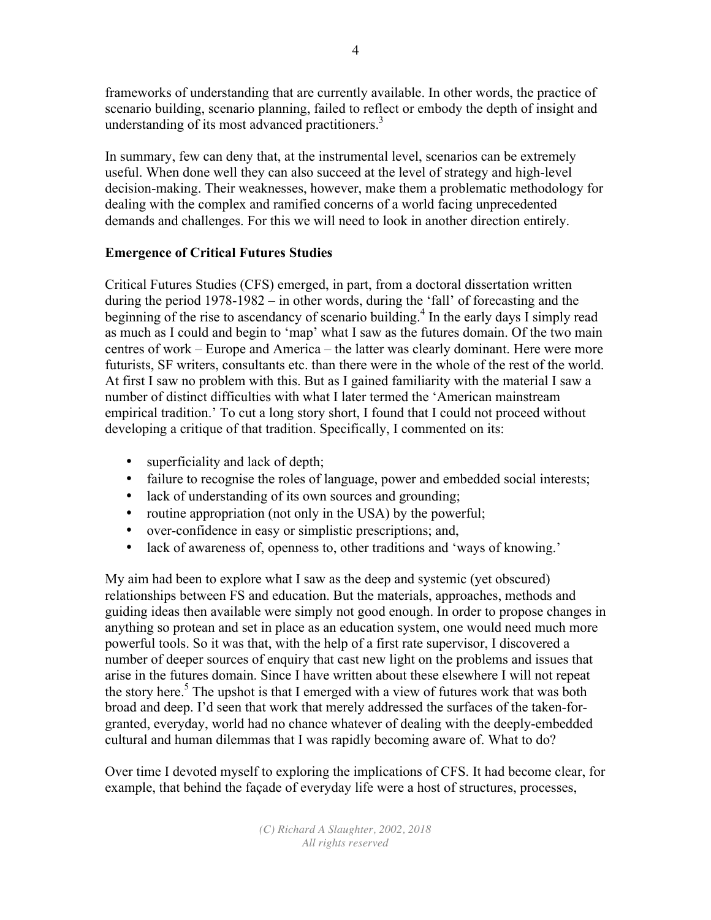frameworks of understanding that are currently available. In other words, the practice of scenario building, scenario planning, failed to reflect or embody the depth of insight and understanding of its most advanced practitioners.<sup>3</sup>

In summary, few can deny that, at the instrumental level, scenarios can be extremely useful. When done well they can also succeed at the level of strategy and high-level decision-making. Their weaknesses, however, make them a problematic methodology for dealing with the complex and ramified concerns of a world facing unprecedented demands and challenges. For this we will need to look in another direction entirely.

### **Emergence of Critical Futures Studies**

Critical Futures Studies (CFS) emerged, in part, from a doctoral dissertation written during the period 1978-1982 – in other words, during the 'fall' of forecasting and the beginning of the rise to ascendancy of scenario building.<sup>4</sup> In the early days I simply read as much as I could and begin to 'map' what I saw as the futures domain. Of the two main centres of work – Europe and America – the latter was clearly dominant. Here were more futurists, SF writers, consultants etc. than there were in the whole of the rest of the world. At first I saw no problem with this. But as I gained familiarity with the material I saw a number of distinct difficulties with what I later termed the 'American mainstream empirical tradition.' To cut a long story short, I found that I could not proceed without developing a critique of that tradition. Specifically, I commented on its:

- superficiality and lack of depth;
- failure to recognise the roles of language, power and embedded social interests;
- lack of understanding of its own sources and grounding;
- routine appropriation (not only in the USA) by the powerful;
- over-confidence in easy or simplistic prescriptions; and,
- lack of awareness of, openness to, other traditions and 'ways of knowing.'

My aim had been to explore what I saw as the deep and systemic (yet obscured) relationships between FS and education. But the materials, approaches, methods and guiding ideas then available were simply not good enough. In order to propose changes in anything so protean and set in place as an education system, one would need much more powerful tools. So it was that, with the help of a first rate supervisor, I discovered a number of deeper sources of enquiry that cast new light on the problems and issues that arise in the futures domain. Since I have written about these elsewhere I will not repeat the story here.<sup>5</sup> The upshot is that I emerged with a view of futures work that was both broad and deep. I'd seen that work that merely addressed the surfaces of the taken-forgranted, everyday, world had no chance whatever of dealing with the deeply-embedded cultural and human dilemmas that I was rapidly becoming aware of. What to do?

Over time I devoted myself to exploring the implications of CFS. It had become clear, for example, that behind the façade of everyday life were a host of structures, processes,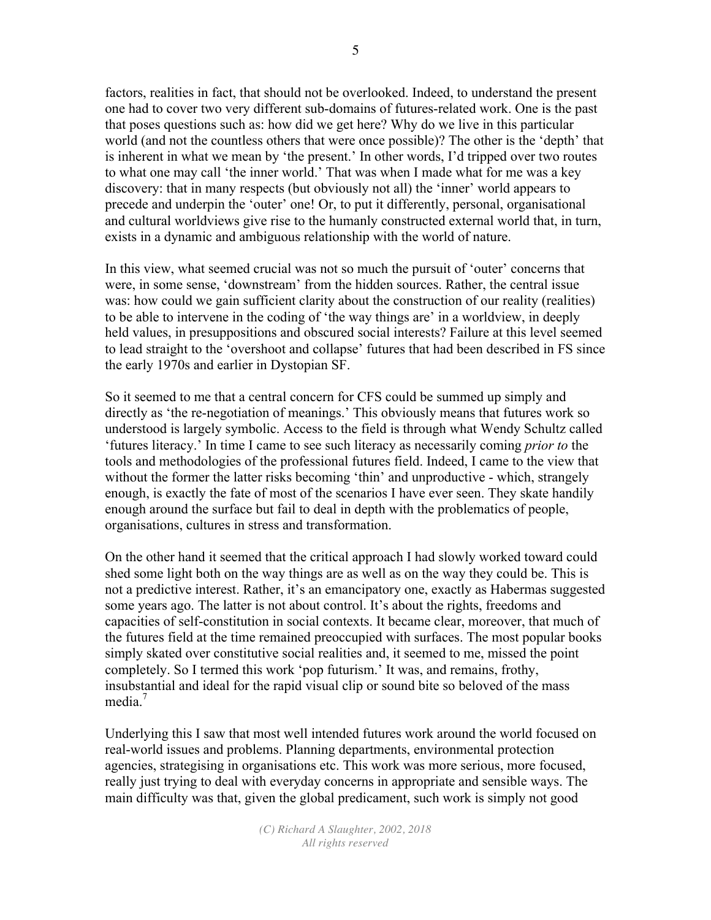factors, realities in fact, that should not be overlooked. Indeed, to understand the present one had to cover two very different sub-domains of futures-related work. One is the past that poses questions such as: how did we get here? Why do we live in this particular world (and not the countless others that were once possible)? The other is the 'depth' that is inherent in what we mean by 'the present.' In other words, I'd tripped over two routes to what one may call 'the inner world.' That was when I made what for me was a key discovery: that in many respects (but obviously not all) the 'inner' world appears to precede and underpin the 'outer' one! Or, to put it differently, personal, organisational and cultural worldviews give rise to the humanly constructed external world that, in turn, exists in a dynamic and ambiguous relationship with the world of nature.

In this view, what seemed crucial was not so much the pursuit of 'outer' concerns that were, in some sense, 'downstream' from the hidden sources. Rather, the central issue was: how could we gain sufficient clarity about the construction of our reality (realities) to be able to intervene in the coding of 'the way things are' in a worldview, in deeply held values, in presuppositions and obscured social interests? Failure at this level seemed to lead straight to the 'overshoot and collapse' futures that had been described in FS since the early 1970s and earlier in Dystopian SF.

So it seemed to me that a central concern for CFS could be summed up simply and directly as 'the re-negotiation of meanings.' This obviously means that futures work so understood is largely symbolic. Access to the field is through what Wendy Schultz called 'futures literacy.' In time I came to see such literacy as necessarily coming *prior to* the tools and methodologies of the professional futures field. Indeed, I came to the view that without the former the latter risks becoming 'thin' and unproductive - which, strangely enough, is exactly the fate of most of the scenarios I have ever seen. They skate handily enough around the surface but fail to deal in depth with the problematics of people, organisations, cultures in stress and transformation.

On the other hand it seemed that the critical approach I had slowly worked toward could shed some light both on the way things are as well as on the way they could be. This is not a predictive interest. Rather, it's an emancipatory one, exactly as Habermas suggested some years ago. The latter is not about control. It's about the rights, freedoms and capacities of self-constitution in social contexts. It became clear, moreover, that much of the futures field at the time remained preoccupied with surfaces. The most popular books simply skated over constitutive social realities and, it seemed to me, missed the point completely. So I termed this work 'pop futurism.' It was, and remains, frothy, insubstantial and ideal for the rapid visual clip or sound bite so beloved of the mass media.<sup>7</sup>

Underlying this I saw that most well intended futures work around the world focused on real-world issues and problems. Planning departments, environmental protection agencies, strategising in organisations etc. This work was more serious, more focused, really just trying to deal with everyday concerns in appropriate and sensible ways. The main difficulty was that, given the global predicament, such work is simply not good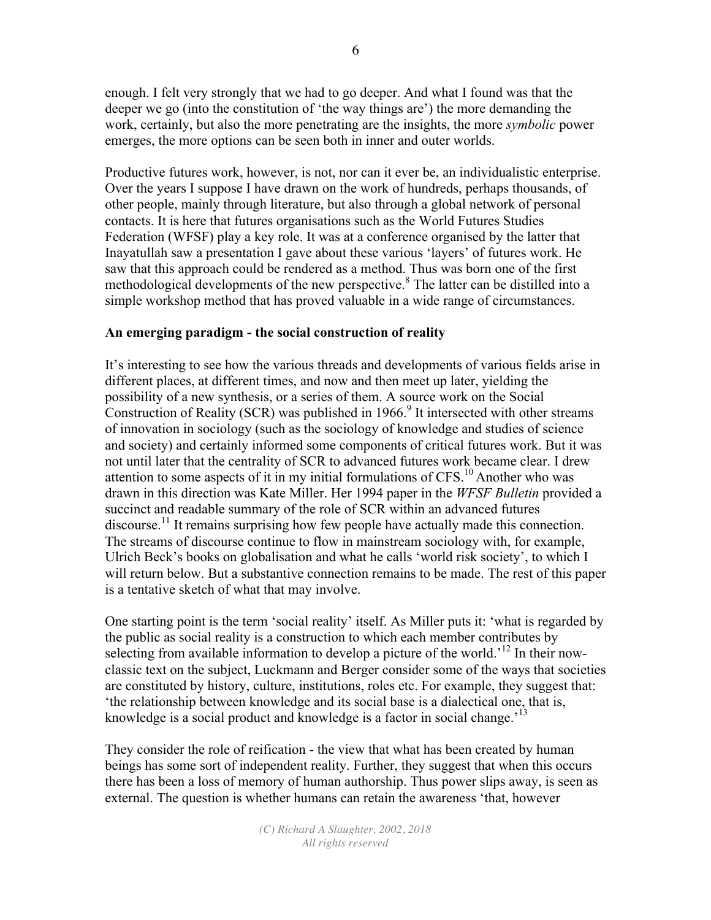enough. I felt very strongly that we had to go deeper. And what I found was that the deeper we go (into the constitution of 'the way things are') the more demanding the work, certainly, but also the more penetrating are the insights, the more *symbolic* power emerges, the more options can be seen both in inner and outer worlds.

Productive futures work, however, is not, nor can it ever be, an individualistic enterprise. Over the years I suppose I have drawn on the work of hundreds, perhaps thousands, of other people, mainly through literature, but also through a global network of personal contacts. It is here that futures organisations such as the World Futures Studies Federation (WFSF) play a key role. It was at a conference organised by the latter that Inayatullah saw a presentation I gave about these various 'layers' of futures work. He saw that this approach could be rendered as a method. Thus was born one of the first methodological developments of the new perspective. <sup>8</sup> The latter can be distilled into a simple workshop method that has proved valuable in a wide range of circumstances.

#### **An emerging paradigm - the social construction of reality**

It's interesting to see how the various threads and developments of various fields arise in different places, at different times, and now and then meet up later, yielding the possibility of a new synthesis, or a series of them. A source work on the Social Construction of Reality (SCR) was published in  $1966<sup>9</sup>$  It intersected with other streams of innovation in sociology (such as the sociology of knowledge and studies of science and society) and certainly informed some components of critical futures work. But it was not until later that the centrality of SCR to advanced futures work became clear. I drew attention to some aspects of it in my initial formulations of  $CFS$ <sup>10</sup> Another who was drawn in this direction was Kate Miller. Her 1994 paper in the *WFSF Bulletin* provided a succinct and readable summary of the role of SCR within an advanced futures discourse.<sup>11</sup> It remains surprising how few people have actually made this connection. The streams of discourse continue to flow in mainstream sociology with, for example, Ulrich Beck's books on globalisation and what he calls 'world risk society', to which I will return below. But a substantive connection remains to be made. The rest of this paper is a tentative sketch of what that may involve.

One starting point is the term 'social reality' itself. As Miller puts it: 'what is regarded by the public as social reality is a construction to which each member contributes by selecting from available information to develop a picture of the world.<sup>'12</sup> In their nowclassic text on the subject, Luckmann and Berger consider some of the ways that societies are constituted by history, culture, institutions, roles etc. For example, they suggest that: 'the relationship between knowledge and its social base is a dialectical one, that is, knowledge is a social product and knowledge is a factor in social change.<sup>13</sup>

They consider the role of reification - the view that what has been created by human beings has some sort of independent reality. Further, they suggest that when this occurs there has been a loss of memory of human authorship. Thus power slips away, is seen as external. The question is whether humans can retain the awareness 'that, however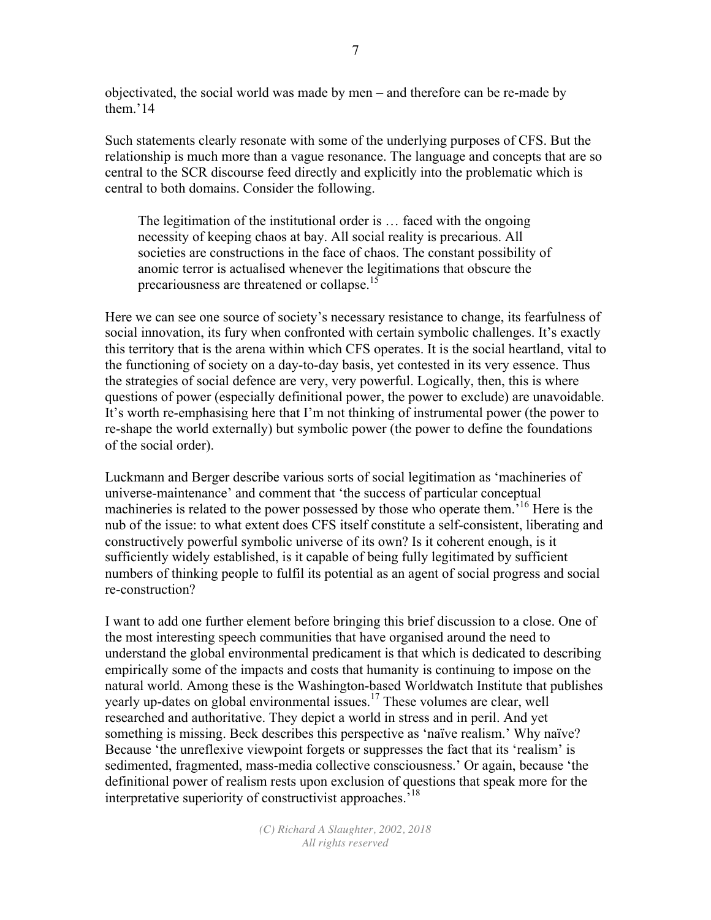objectivated, the social world was made by men – and therefore can be re-made by them.'14

Such statements clearly resonate with some of the underlying purposes of CFS. But the relationship is much more than a vague resonance. The language and concepts that are so central to the SCR discourse feed directly and explicitly into the problematic which is central to both domains. Consider the following.

The legitimation of the institutional order is … faced with the ongoing necessity of keeping chaos at bay. All social reality is precarious. All societies are constructions in the face of chaos. The constant possibility of anomic terror is actualised whenever the legitimations that obscure the precariousness are threatened or collapse.<sup>15</sup>

Here we can see one source of society's necessary resistance to change, its fearfulness of social innovation, its fury when confronted with certain symbolic challenges. It's exactly this territory that is the arena within which CFS operates. It is the social heartland, vital to the functioning of society on a day-to-day basis, yet contested in its very essence. Thus the strategies of social defence are very, very powerful. Logically, then, this is where questions of power (especially definitional power, the power to exclude) are unavoidable. It's worth re-emphasising here that I'm not thinking of instrumental power (the power to re-shape the world externally) but symbolic power (the power to define the foundations of the social order).

Luckmann and Berger describe various sorts of social legitimation as 'machineries of universe-maintenance' and comment that 'the success of particular conceptual machineries is related to the power possessed by those who operate them.<sup>16</sup> Here is the nub of the issue: to what extent does CFS itself constitute a self-consistent, liberating and constructively powerful symbolic universe of its own? Is it coherent enough, is it sufficiently widely established, is it capable of being fully legitimated by sufficient numbers of thinking people to fulfil its potential as an agent of social progress and social re-construction?

I want to add one further element before bringing this brief discussion to a close. One of the most interesting speech communities that have organised around the need to understand the global environmental predicament is that which is dedicated to describing empirically some of the impacts and costs that humanity is continuing to impose on the natural world. Among these is the Washington-based Worldwatch Institute that publishes yearly up-dates on global environmental issues.<sup>17</sup> These volumes are clear, well researched and authoritative. They depict a world in stress and in peril. And yet something is missing. Beck describes this perspective as 'naïve realism.' Why naïve? Because 'the unreflexive viewpoint forgets or suppresses the fact that its 'realism' is sedimented, fragmented, mass-media collective consciousness.' Or again, because 'the definitional power of realism rests upon exclusion of questions that speak more for the interpretative superiority of constructivist approaches.'<sup>18</sup>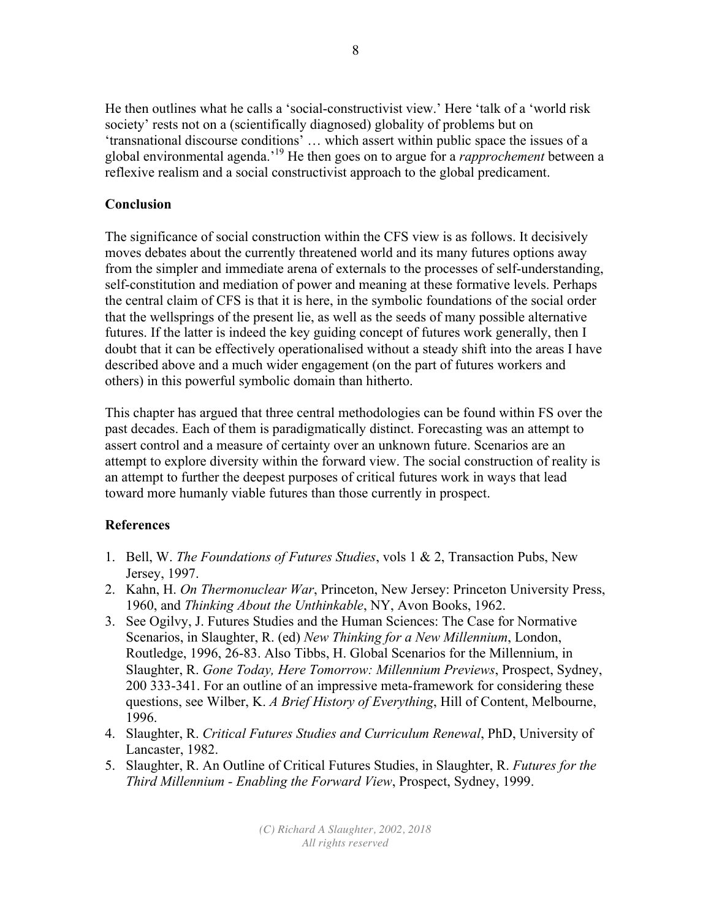He then outlines what he calls a 'social-constructivist view.' Here 'talk of a 'world risk society' rests not on a (scientifically diagnosed) globality of problems but on 'transnational discourse conditions' … which assert within public space the issues of a global environmental agenda.'<sup>19</sup> He then goes on to argue for a *rapprochement* between a reflexive realism and a social constructivist approach to the global predicament.

## **Conclusion**

The significance of social construction within the CFS view is as follows. It decisively moves debates about the currently threatened world and its many futures options away from the simpler and immediate arena of externals to the processes of self-understanding, self-constitution and mediation of power and meaning at these formative levels. Perhaps the central claim of CFS is that it is here, in the symbolic foundations of the social order that the wellsprings of the present lie, as well as the seeds of many possible alternative futures. If the latter is indeed the key guiding concept of futures work generally, then I doubt that it can be effectively operationalised without a steady shift into the areas I have described above and a much wider engagement (on the part of futures workers and others) in this powerful symbolic domain than hitherto.

This chapter has argued that three central methodologies can be found within FS over the past decades. Each of them is paradigmatically distinct. Forecasting was an attempt to assert control and a measure of certainty over an unknown future. Scenarios are an attempt to explore diversity within the forward view. The social construction of reality is an attempt to further the deepest purposes of critical futures work in ways that lead toward more humanly viable futures than those currently in prospect.

## **References**

- 1. Bell, W. *The Foundations of Futures Studies*, vols 1 & 2, Transaction Pubs, New Jersey, 1997.
- 2. Kahn, H. *On Thermonuclear War*, Princeton, New Jersey: Princeton University Press, 1960, and *Thinking About the Unthinkable*, NY, Avon Books, 1962.
- 3. See Ogilvy, J. Futures Studies and the Human Sciences: The Case for Normative Scenarios, in Slaughter, R. (ed) *New Thinking for a New Millennium*, London, Routledge, 1996, 26-83. Also Tibbs, H. Global Scenarios for the Millennium, in Slaughter, R. *Gone Today, Here Tomorrow: Millennium Previews*, Prospect, Sydney, 200 333-341. For an outline of an impressive meta-framework for considering these questions, see Wilber, K. *A Brief History of Everything*, Hill of Content, Melbourne, 1996.
- 4. Slaughter, R. *Critical Futures Studies and Curriculum Renewal*, PhD, University of Lancaster, 1982.
- 5. Slaughter, R. An Outline of Critical Futures Studies, in Slaughter, R. *Futures for the Third Millennium - Enabling the Forward View*, Prospect, Sydney, 1999.